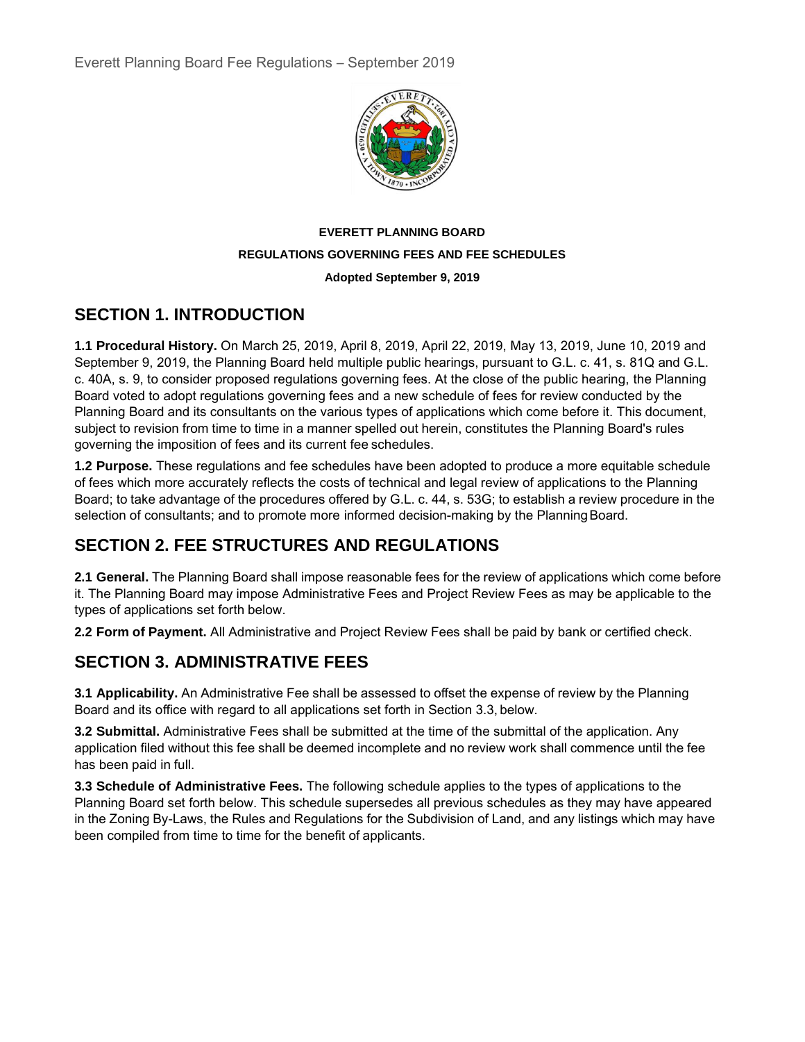

#### **EVERETT PLANNING BOARD REGULATIONS GOVERNING FEES AND FEE SCHEDULES Adopted September 9, 2019**

## **SECTION 1. INTRODUCTION**

**1.1 Procedural History.** On March 25, 2019, April 8, 2019, April 22, 2019, May 13, 2019, June 10, 2019 and September 9, 2019, the Planning Board held multiple public hearings, pursuant to G.L. c. 41, s. 81Q and G.L. c. 40A, s. 9, to consider proposed regulations governing fees. At the close of the public hearing, the Planning Board voted to adopt regulations governing fees and a new schedule of fees for review conducted by the Planning Board and its consultants on the various types of applications which come before it. This document, subject to revision from time to time in a manner spelled out herein, constitutes the Planning Board's rules governing the imposition of fees and its current fee schedules.

**1.2 Purpose.** These regulations and fee schedules have been adopted to produce a more equitable schedule of fees which more accurately reflects the costs of technical and legal review of applications to the Planning Board; to take advantage of the procedures offered by G.L. c. 44, s. 53G; to establish a review procedure in the selection of consultants; and to promote more informed decision-making by the Planning Board.

# **SECTION 2. FEE STRUCTURES AND REGULATIONS**

**2.1 General.** The Planning Board shall impose reasonable fees for the review of applications which come before it. The Planning Board may impose Administrative Fees and Project Review Fees as may be applicable to the types of applications set forth below.

**2.2 Form of Payment.** All Administrative and Project Review Fees shall be paid by bank or certified check.

# **SECTION 3. ADMINISTRATIVE FEES**

**3.1 Applicability.** An Administrative Fee shall be assessed to offset the expense of review by the Planning Board and its office with regard to all applications set forth in Section 3.3, below.

**3.2 Submittal.** Administrative Fees shall be submitted at the time of the submittal of the application. Any application filed without this fee shall be deemed incomplete and no review work shall commence until the fee has been paid in full.

**3.3 Schedule of Administrative Fees.** The following schedule applies to the types of applications to the Planning Board set forth below. This schedule supersedes all previous schedules as they may have appeared in the Zoning By-Laws, the Rules and Regulations for the Subdivision of Land, and any listings which may have been compiled from time to time for the benefit of applicants.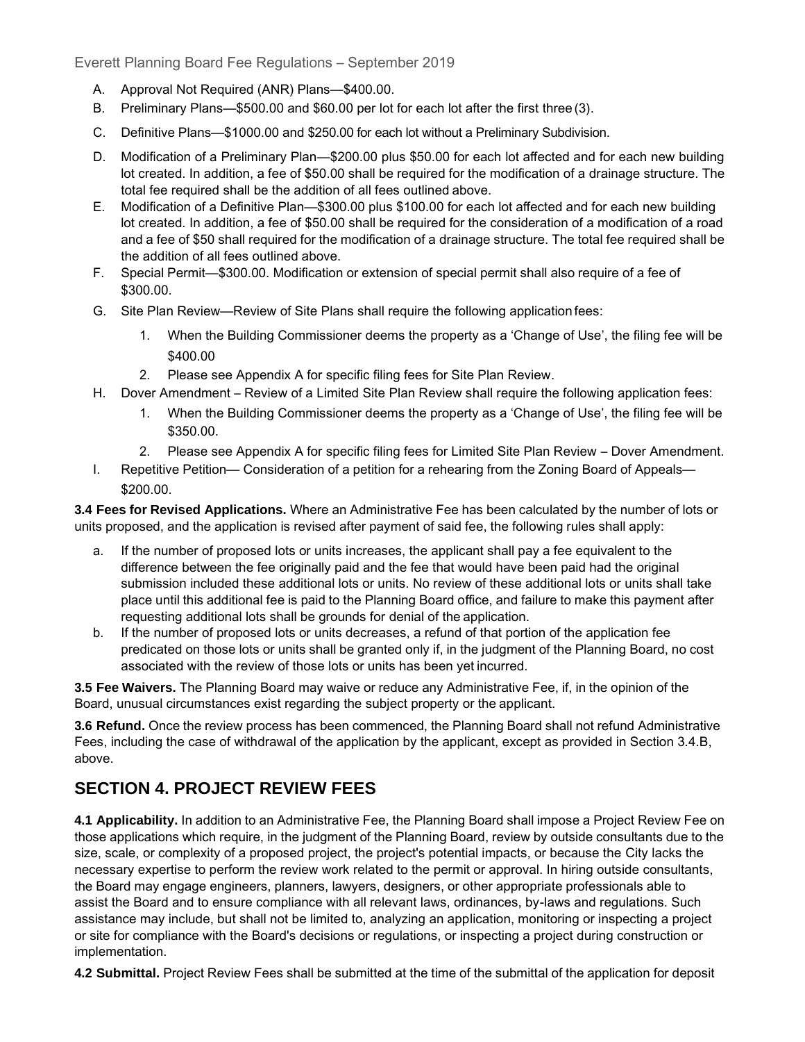Everett Planning Board Fee Regulations – September 2019

- A. Approval Not Required (ANR) Plans—\$400.00.
- B. Preliminary Plans—\$500.00 and \$60.00 per lot for each lot after the first three (3).
- C. Definitive Plans—\$1000.00 and \$250.00 for each lot without a Preliminary Subdivision.
- D. Modification of a Preliminary Plan—\$200.00 plus \$50.00 for each lot affected and for each new building lot created. In addition, a fee of \$50.00 shall be required for the modification of a drainage structure. The total fee required shall be the addition of all fees outlined above.
- E. Modification of a Definitive Plan—\$300.00 plus \$100.00 for each lot affected and for each new building lot created. In addition, a fee of \$50.00 shall be required for the consideration of a modification of a road and a fee of \$50 shall required for the modification of a drainage structure. The total fee required shall be the addition of all fees outlined above.
- F. Special Permit—\$300.00. Modification or extension of special permit shall also require of a fee of \$300.00.
- G. Site Plan Review—Review of Site Plans shall require the following application fees:
	- 1. When the Building Commissioner deems the property as a 'Change of Use', the filing fee will be \$400.00
	- 2. Please see Appendix A for specific filing fees for Site Plan Review.
- H. Dover Amendment Review of a Limited Site Plan Review shall require the following application fees:
	- 1. When the Building Commissioner deems the property as a 'Change of Use', the filing fee will be \$350.00.
	- 2. Please see Appendix A for specific filing fees for Limited Site Plan Review Dover Amendment.
- I. Repetitive Petition— Consideration of a petition for a rehearing from the Zoning Board of Appeals— \$200.00.

**3.4 Fees for Revised Applications.** Where an Administrative Fee has been calculated by the number of lots or units proposed, and the application is revised after payment of said fee, the following rules shall apply:

- a. If the number of proposed lots or units increases, the applicant shall pay a fee equivalent to the difference between the fee originally paid and the fee that would have been paid had the original submission included these additional lots or units. No review of these additional lots or units shall take place until this additional fee is paid to the Planning Board office, and failure to make this payment after requesting additional lots shall be grounds for denial of the application.
- b. If the number of proposed lots or units decreases, a refund of that portion of the application fee predicated on those lots or units shall be granted only if, in the judgment of the Planning Board, no cost associated with the review of those lots or units has been yet incurred.

**3.5 Fee Waivers.** The Planning Board may waive or reduce any Administrative Fee, if, in the opinion of the Board, unusual circumstances exist regarding the subject property or the applicant.

**3.6 Refund.** Once the review process has been commenced, the Planning Board shall not refund Administrative Fees, including the case of withdrawal of the application by the applicant, except as provided in Section 3.4.B, above.

#### **SECTION 4. PROJECT REVIEW FEES**

**4.1 Applicability.** In addition to an Administrative Fee, the Planning Board shall impose a Project Review Fee on those applications which require, in the judgment of the Planning Board, review by outside consultants due to the size, scale, or complexity of a proposed project, the project's potential impacts, or because the City lacks the necessary expertise to perform the review work related to the permit or approval. In hiring outside consultants, the Board may engage engineers, planners, lawyers, designers, or other appropriate professionals able to assist the Board and to ensure compliance with all relevant laws, ordinances, by-laws and regulations. Such assistance may include, but shall not be limited to, analyzing an application, monitoring or inspecting a project or site for compliance with the Board's decisions or regulations, or inspecting a project during construction or implementation.

**4.2 Submittal.** Project Review Fees shall be submitted at the time of the submittal of the application for deposit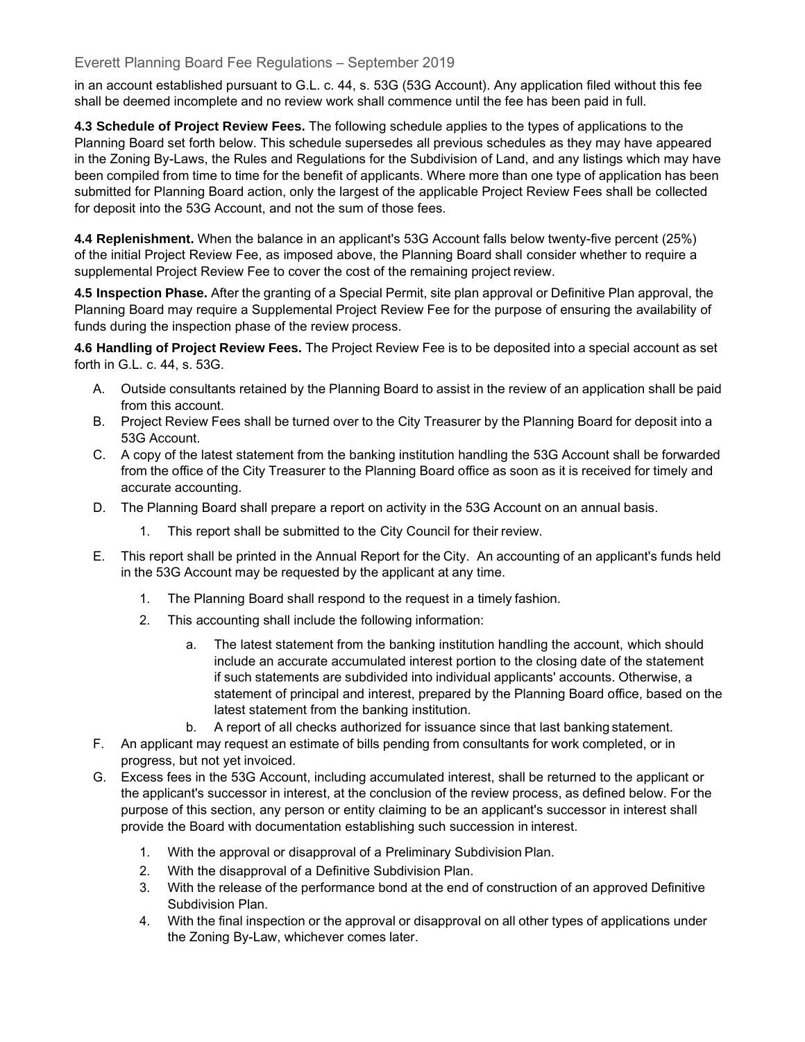#### Everett Planning Board Fee Regulations – September 2019

in an account established pursuant to G.L. c. 44, s. 53G (53G Account). Any application filed without this fee shall be deemed incomplete and no review work shall commence until the fee has been paid in full.

**4.3 Schedule of Project Review Fees.** The following schedule applies to the types of applications to the Planning Board set forth below. This schedule supersedes all previous schedules as they may have appeared in the Zoning By-Laws, the Rules and Regulations for the Subdivision of Land, and any listings which may have been compiled from time to time for the benefit of applicants. Where more than one type of application has been submitted for Planning Board action, only the largest of the applicable Project Review Fees shall be collected for deposit into the 53G Account, and not the sum of those fees.

**4.4 Replenishment.** When the balance in an applicant's 53G Account falls below twenty-five percent (25%) of the initial Project Review Fee, as imposed above, the Planning Board shall consider whether to require a supplemental Project Review Fee to cover the cost of the remaining project review.

**4.5 Inspection Phase.** After the granting of a Special Permit, site plan approval or Definitive Plan approval, the Planning Board may require a Supplemental Project Review Fee for the purpose of ensuring the availability of funds during the inspection phase of the review process.

**4.6 Handling of Project Review Fees.** The Project Review Fee is to be deposited into a special account as set forth in G.L. c. 44, s. 53G.

- A. Outside consultants retained by the Planning Board to assist in the review of an application shall be paid from this account.
- B. Project Review Fees shall be turned over to the City Treasurer by the Planning Board for deposit into a 53G Account.
- C. A copy of the latest statement from the banking institution handling the 53G Account shall be forwarded from the office of the City Treasurer to the Planning Board office as soon as it is received for timely and accurate accounting.
- D. The Planning Board shall prepare a report on activity in the 53G Account on an annual basis.
	- 1. This report shall be submitted to the City Council for their review.
- E. This report shall be printed in the Annual Report for the City. An accounting of an applicant's funds held in the 53G Account may be requested by the applicant at any time.
	- 1. The Planning Board shall respond to the request in a timely fashion.
	- 2. This accounting shall include the following information:
		- a. The latest statement from the banking institution handling the account, which should include an accurate accumulated interest portion to the closing date of the statement if such statements are subdivided into individual applicants' accounts. Otherwise, a statement of principal and interest, prepared by the Planning Board office, based on the latest statement from the banking institution.
		- b. A report of all checks authorized for issuance since that last banking statement.
- F. An applicant may request an estimate of bills pending from consultants for work completed, or in progress, but not yet invoiced.
- G. Excess fees in the 53G Account, including accumulated interest, shall be returned to the applicant or the applicant's successor in interest, at the conclusion of the review process, as defined below. For the purpose of this section, any person or entity claiming to be an applicant's successor in interest shall provide the Board with documentation establishing such succession in interest.
	- 1. With the approval or disapproval of a Preliminary Subdivision Plan.
	- 2. With the disapproval of a Definitive Subdivision Plan.
	- 3. With the release of the performance bond at the end of construction of an approved Definitive Subdivision Plan.
	- 4. With the final inspection or the approval or disapproval on all other types of applications under the Zoning By-Law, whichever comes later.